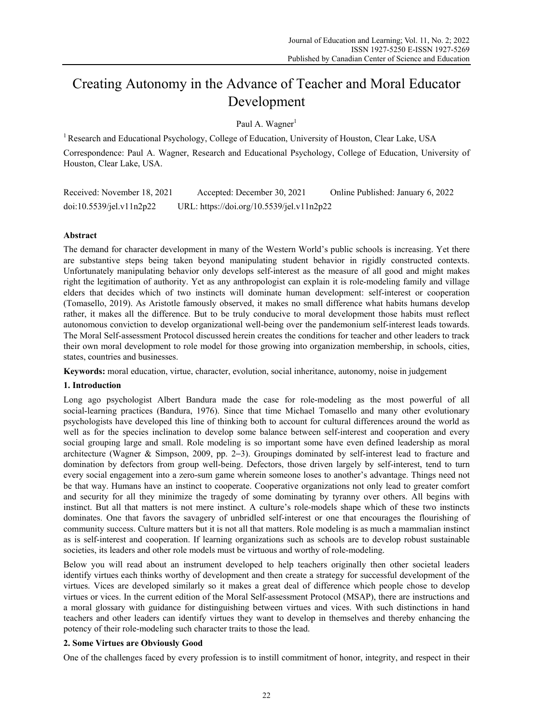# Creating Autonomy in the Advance of Teacher and Moral Educator Development

Paul A. Wagner<sup>1</sup>

<sup>1</sup> Research and Educational Psychology, College of Education, University of Houston, Clear Lake, USA Correspondence: Paul A. Wagner, Research and Educational Psychology, College of Education, University of Houston, Clear Lake, USA.

Received: November 18, 2021 Accepted: December 30, 2021 Online Published: January 6, 2022 doi:10.5539/jel.v11n2p22 URL: https://doi.org/10.5539/jel.v11n2p22

## **Abstract**

The demand for character development in many of the Western World's public schools is increasing. Yet there are substantive steps being taken beyond manipulating student behavior in rigidly constructed contexts. Unfortunately manipulating behavior only develops self-interest as the measure of all good and might makes right the legitimation of authority. Yet as any anthropologist can explain it is role-modeling family and village elders that decides which of two instincts will dominate human development: self-interest or cooperation (Tomasello, 2019). As Aristotle famously observed, it makes no small difference what habits humans develop rather, it makes all the difference. But to be truly conducive to moral development those habits must reflect autonomous conviction to develop organizational well-being over the pandemonium self-interest leads towards. The Moral Self-assessment Protocol discussed herein creates the conditions for teacher and other leaders to track their own moral development to role model for those growing into organization membership, in schools, cities, states, countries and businesses.

**Keywords:** moral education, virtue, character, evolution, social inheritance, autonomy, noise in judgement

## **1. Introduction**

Long ago psychologist Albert Bandura made the case for role-modeling as the most powerful of all social-learning practices (Bandura, 1976). Since that time Michael Tomasello and many other evolutionary psychologists have developed this line of thinking both to account for cultural differences around the world as well as for the species inclination to develop some balance between self-interest and cooperation and every social grouping large and small. Role modeling is so important some have even defined leadership as moral architecture (Wagner & Simpson, 2009, pp. 2−3). Groupings dominated by self-interest lead to fracture and domination by defectors from group well-being. Defectors, those driven largely by self-interest, tend to turn every social engagement into a zero-sum game wherein someone loses to another's advantage. Things need not be that way. Humans have an instinct to cooperate. Cooperative organizations not only lead to greater comfort and security for all they minimize the tragedy of some dominating by tyranny over others. All begins with instinct. But all that matters is not mere instinct. A culture's role-models shape which of these two instincts dominates. One that favors the savagery of unbridled self-interest or one that encourages the flourishing of community success. Culture matters but it is not all that matters. Role modeling is as much a mammalian instinct as is self-interest and cooperation. If learning organizations such as schools are to develop robust sustainable societies, its leaders and other role models must be virtuous and worthy of role-modeling.

Below you will read about an instrument developed to help teachers originally then other societal leaders identify virtues each thinks worthy of development and then create a strategy for successful development of the virtues. Vices are developed similarly so it makes a great deal of difference which people chose to develop virtues or vices. In the current edition of the Moral Self-assessment Protocol (MSAP), there are instructions and a moral glossary with guidance for distinguishing between virtues and vices. With such distinctions in hand teachers and other leaders can identify virtues they want to develop in themselves and thereby enhancing the potency of their role-modeling such character traits to those the lead.

## **2. Some Virtues are Obviously Good**

One of the challenges faced by every profession is to instill commitment of honor, integrity, and respect in their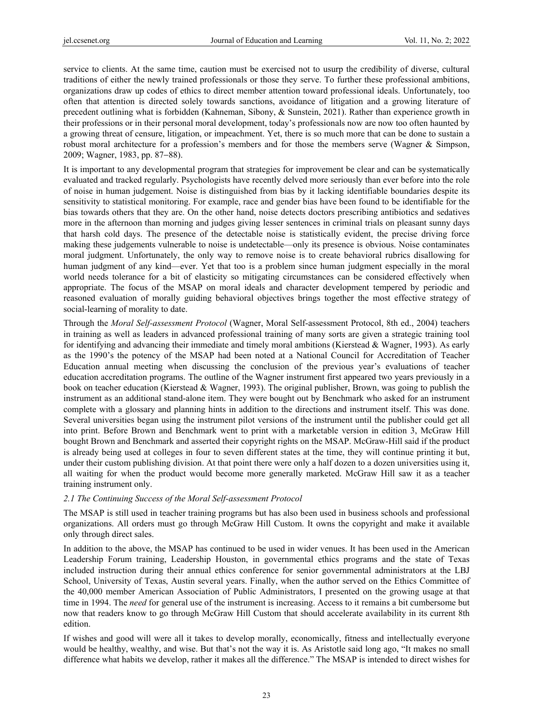service to clients. At the same time, caution must be exercised not to usurp the credibility of diverse, cultural traditions of either the newly trained professionals or those they serve. To further these professional ambitions, organizations draw up codes of ethics to direct member attention toward professional ideals. Unfortunately, too often that attention is directed solely towards sanctions, avoidance of litigation and a growing literature of precedent outlining what is forbidden (Kahneman, Sibony, & Sunstein, 2021). Rather than experience growth in their professions or in their personal moral development, today's professionals now are now too often haunted by a growing threat of censure, litigation, or impeachment. Yet, there is so much more that can be done to sustain a robust moral architecture for a profession's members and for those the members serve (Wagner & Simpson, 2009; Wagner, 1983, pp. 87−88).

It is important to any developmental program that strategies for improvement be clear and can be systematically evaluated and tracked regularly. Psychologists have recently delved more seriously than ever before into the role of noise in human judgement. Noise is distinguished from bias by it lacking identifiable boundaries despite its sensitivity to statistical monitoring. For example, race and gender bias have been found to be identifiable for the bias towards others that they are. On the other hand, noise detects doctors prescribing antibiotics and sedatives more in the afternoon than morning and judges giving lesser sentences in criminal trials on pleasant sunny days that harsh cold days. The presence of the detectable noise is statistically evident, the precise driving force making these judgements vulnerable to noise is undetectable—only its presence is obvious. Noise contaminates moral judgment. Unfortunately, the only way to remove noise is to create behavioral rubrics disallowing for human judgment of any kind—ever. Yet that too is a problem since human judgment especially in the moral world needs tolerance for a bit of elasticity so mitigating circumstances can be considered effectively when appropriate. The focus of the MSAP on moral ideals and character development tempered by periodic and reasoned evaluation of morally guiding behavioral objectives brings together the most effective strategy of social-learning of morality to date.

Through the *Moral Self-assessment Protocol* (Wagner, Moral Self-assessment Protocol, 8th ed., 2004) teachers in training as well as leaders in advanced professional training of many sorts are given a strategic training tool for identifying and advancing their immediate and timely moral ambitions (Kierstead & Wagner, 1993). As early as the 1990's the potency of the MSAP had been noted at a National Council for Accreditation of Teacher Education annual meeting when discussing the conclusion of the previous year's evaluations of teacher education accreditation programs. The outline of the Wagner instrument first appeared two years previously in a book on teacher education (Kierstead & Wagner, 1993). The original publisher, Brown, was going to publish the instrument as an additional stand-alone item. They were bought out by Benchmark who asked for an instrument complete with a glossary and planning hints in addition to the directions and instrument itself. This was done. Several universities began using the instrument pilot versions of the instrument until the publisher could get all into print. Before Brown and Benchmark went to print with a marketable version in edition 3, McGraw Hill bought Brown and Benchmark and asserted their copyright rights on the MSAP. McGraw-Hill said if the product is already being used at colleges in four to seven different states at the time, they will continue printing it but, under their custom publishing division. At that point there were only a half dozen to a dozen universities using it, all waiting for when the product would become more generally marketed. McGraw Hill saw it as a teacher training instrument only.

## *2.1 The Continuing Success of the Moral Self-assessment Protocol*

The MSAP is still used in teacher training programs but has also been used in business schools and professional organizations. All orders must go through McGraw Hill Custom. It owns the copyright and make it available only through direct sales.

In addition to the above, the MSAP has continued to be used in wider venues. It has been used in the American Leadership Forum training, Leadership Houston, in governmental ethics programs and the state of Texas included instruction during their annual ethics conference for senior governmental administrators at the LBJ School, University of Texas, Austin several years. Finally, when the author served on the Ethics Committee of the 40,000 member American Association of Public Administrators, I presented on the growing usage at that time in 1994. The *need* for general use of the instrument is increasing. Access to it remains a bit cumbersome but now that readers know to go through McGraw Hill Custom that should accelerate availability in its current 8th edition.

If wishes and good will were all it takes to develop morally, economically, fitness and intellectually everyone would be healthy, wealthy, and wise. But that's not the way it is. As Aristotle said long ago, "It makes no small difference what habits we develop, rather it makes all the difference." The MSAP is intended to direct wishes for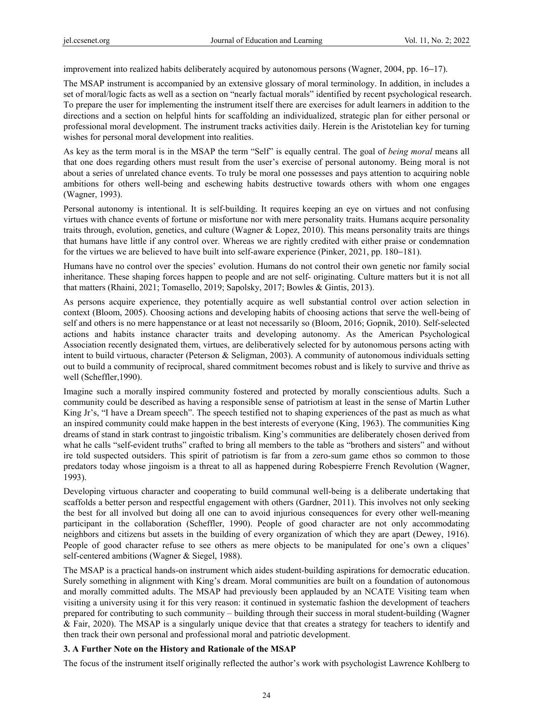improvement into realized habits deliberately acquired by autonomous persons (Wagner, 2004, pp. 16−17).

The MSAP instrument is accompanied by an extensive glossary of moral terminology. In addition, in includes a set of moral/logic facts as well as a section on "nearly factual morals" identified by recent psychological research. To prepare the user for implementing the instrument itself there are exercises for adult learners in addition to the directions and a section on helpful hints for scaffolding an individualized, strategic plan for either personal or professional moral development. The instrument tracks activities daily. Herein is the Aristotelian key for turning wishes for personal moral development into realities.

As key as the term moral is in the MSAP the term "Self" is equally central. The goal of *being moral* means all that one does regarding others must result from the user's exercise of personal autonomy. Being moral is not about a series of unrelated chance events. To truly be moral one possesses and pays attention to acquiring noble ambitions for others well-being and eschewing habits destructive towards others with whom one engages (Wagner, 1993).

Personal autonomy is intentional. It is self-building. It requires keeping an eye on virtues and not confusing virtues with chance events of fortune or misfortune nor with mere personality traits. Humans acquire personality traits through, evolution, genetics, and culture (Wagner & Lopez, 2010). This means personality traits are things that humans have little if any control over. Whereas we are rightly credited with either praise or condemnation for the virtues we are believed to have built into self-aware experience (Pinker, 2021, pp. 180−181).

Humans have no control over the species' evolution. Humans do not control their own genetic nor family social inheritance. These shaping forces happen to people and are not self- originating. Culture matters but it is not all that matters (Rhaini, 2021; Tomasello, 2019; Sapolsky, 2017; Bowles & Gintis, 2013).

As persons acquire experience, they potentially acquire as well substantial control over action selection in context (Bloom, 2005). Choosing actions and developing habits of choosing actions that serve the well-being of self and others is no mere happenstance or at least not necessarily so (Bloom, 2016; Gopnik, 2010). Self-selected actions and habits instance character traits and developing autonomy. As the American Psychological Association recently designated them, virtues, are deliberatively selected for by autonomous persons acting with intent to build virtuous, character (Peterson & Seligman, 2003). A community of autonomous individuals setting out to build a community of reciprocal, shared commitment becomes robust and is likely to survive and thrive as well (Scheffler,1990).

Imagine such a morally inspired community fostered and protected by morally conscientious adults. Such a community could be described as having a responsible sense of patriotism at least in the sense of Martin Luther King Jr's, "I have a Dream speech". The speech testified not to shaping experiences of the past as much as what an inspired community could make happen in the best interests of everyone (King, 1963). The communities King dreams of stand in stark contrast to jingoistic tribalism. King's communities are deliberately chosen derived from what he calls "self-evident truths" crafted to bring all members to the table as "brothers and sisters" and without ire told suspected outsiders. This spirit of patriotism is far from a zero-sum game ethos so common to those predators today whose jingoism is a threat to all as happened during Robespierre French Revolution (Wagner, 1993).

Developing virtuous character and cooperating to build communal well-being is a deliberate undertaking that scaffolds a better person and respectful engagement with others (Gardner, 2011). This involves not only seeking the best for all involved but doing all one can to avoid injurious consequences for every other well-meaning participant in the collaboration (Scheffler, 1990). People of good character are not only accommodating neighbors and citizens but assets in the building of every organization of which they are apart (Dewey, 1916). People of good character refuse to see others as mere objects to be manipulated for one's own a cliques' self-centered ambitions (Wagner & Siegel, 1988).

The MSAP is a practical hands-on instrument which aides student-building aspirations for democratic education. Surely something in alignment with King's dream. Moral communities are built on a foundation of autonomous and morally committed adults. The MSAP had previously been applauded by an NCATE Visiting team when visiting a university using it for this very reason: it continued in systematic fashion the development of teachers prepared for contributing to such community – building through their success in moral student-building (Wagner & Fair, 2020). The MSAP is a singularly unique device that that creates a strategy for teachers to identify and then track their own personal and professional moral and patriotic development.

## **3. A Further Note on the History and Rationale of the MSAP**

The focus of the instrument itself originally reflected the author's work with psychologist Lawrence Kohlberg to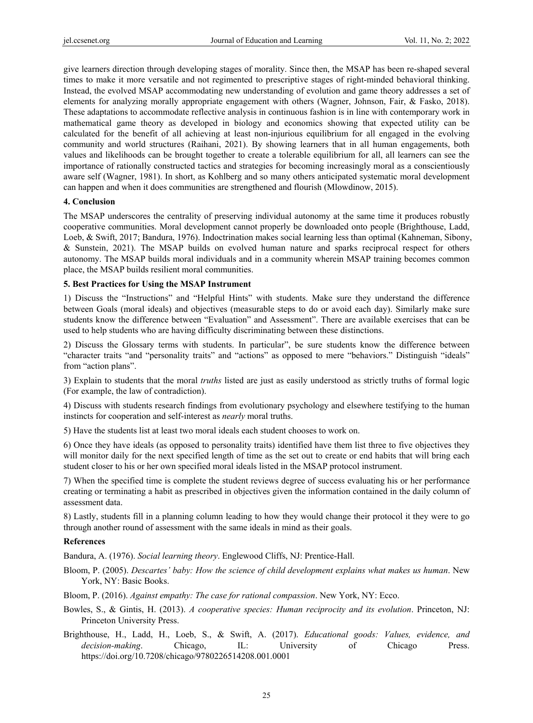give learners direction through developing stages of morality. Since then, the MSAP has been re-shaped several times to make it more versatile and not regimented to prescriptive stages of right-minded behavioral thinking. Instead, the evolved MSAP accommodating new understanding of evolution and game theory addresses a set of elements for analyzing morally appropriate engagement with others (Wagner, Johnson, Fair, & Fasko, 2018). These adaptations to accommodate reflective analysis in continuous fashion is in line with contemporary work in mathematical game theory as developed in biology and economics showing that expected utility can be calculated for the benefit of all achieving at least non-injurious equilibrium for all engaged in the evolving community and world structures (Raihani, 2021). By showing learners that in all human engagements, both values and likelihoods can be brought together to create a tolerable equilibrium for all, all learners can see the importance of rationally constructed tactics and strategies for becoming increasingly moral as a conscientiously aware self (Wagner, 1981). In short, as Kohlberg and so many others anticipated systematic moral development can happen and when it does communities are strengthened and flourish (Mlowdinow, 2015).

## **4. Conclusion**

The MSAP underscores the centrality of preserving individual autonomy at the same time it produces robustly cooperative communities. Moral development cannot properly be downloaded onto people (Brighthouse, Ladd, Loeb, & Swift, 2017; Bandura, 1976). Indoctrination makes social learning less than optimal (Kahneman, Sibony, & Sunstein, 2021). The MSAP builds on evolved human nature and sparks reciprocal respect for others autonomy. The MSAP builds moral individuals and in a community wherein MSAP training becomes common place, the MSAP builds resilient moral communities.

## **5. Best Practices for Using the MSAP Instrument**

1) Discuss the "Instructions" and "Helpful Hints" with students. Make sure they understand the difference between Goals (moral ideals) and objectives (measurable steps to do or avoid each day). Similarly make sure students know the difference between "Evaluation" and Assessment". There are available exercises that can be used to help students who are having difficulty discriminating between these distinctions.

2) Discuss the Glossary terms with students. In particular", be sure students know the difference between "character traits "and "personality traits" and "actions" as opposed to mere "behaviors." Distinguish "ideals" from "action plans".

3) Explain to students that the moral *truths* listed are just as easily understood as strictly truths of formal logic (For example, the law of contradiction).

4) Discuss with students research findings from evolutionary psychology and elsewhere testifying to the human instincts for cooperation and self-interest as *nearly* moral truths.

5) Have the students list at least two moral ideals each student chooses to work on.

6) Once they have ideals (as opposed to personality traits) identified have them list three to five objectives they will monitor daily for the next specified length of time as the set out to create or end habits that will bring each student closer to his or her own specified moral ideals listed in the MSAP protocol instrument.

7) When the specified time is complete the student reviews degree of success evaluating his or her performance creating or terminating a habit as prescribed in objectives given the information contained in the daily column of assessment data.

8) Lastly, students fill in a planning column leading to how they would change their protocol it they were to go through another round of assessment with the same ideals in mind as their goals.

#### **References**

Bandura, A. (1976). *Social learning theory*. Englewood Cliffs, NJ: Prentice-Hall.

Bloom, P. (2005). *Descartes' baby: How the science of child development explains what makes us human*. New York, NY: Basic Books.

Bloom, P. (2016). *Against empathy: The case for rational compassion*. New York, NY: Ecco.

- Bowles, S., & Gintis, H. (2013). *A cooperative species: Human reciprocity and its evolution*. Princeton, NJ: Princeton University Press.
- Brighthouse, H., Ladd, H., Loeb, S., & Swift, A. (2017). *Educational goods: Values, evidence, and decision-making*. Chicago, IL: University of Chicago Press. https://doi.org/10.7208/chicago/9780226514208.001.0001